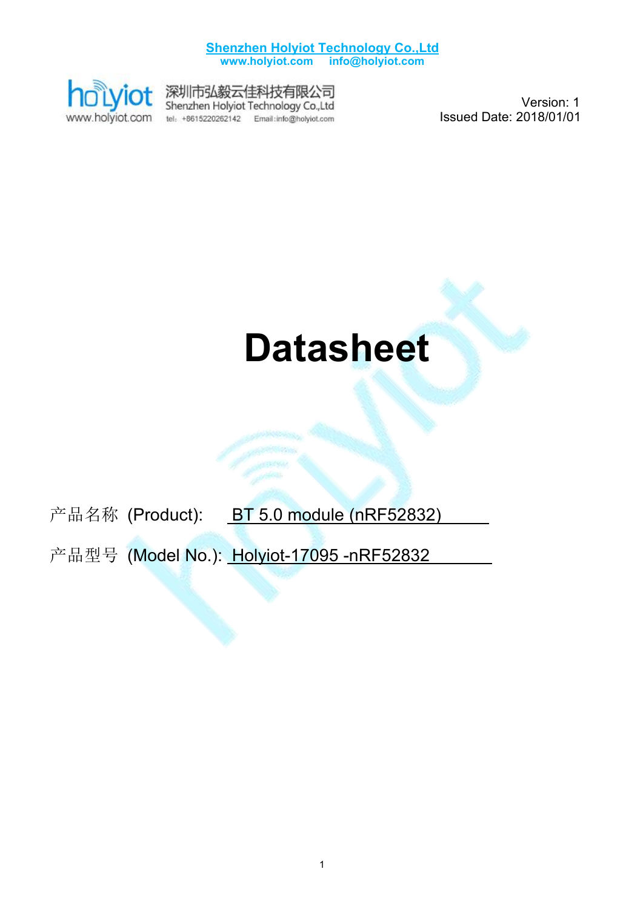

深圳市弘毅云佳科技有限公司<br>Shenzhen Holyiot Technology Co.,Ltd tel: +8615220262142 Email:info@holyiot.com

Version: 1 Issued Date: 2018/01/01

# **Datasheet**

产品名称 (Product): BT 5.0 module (nRF52832)

产品型号 (Model No.): Holyiot-17095 -nRF52832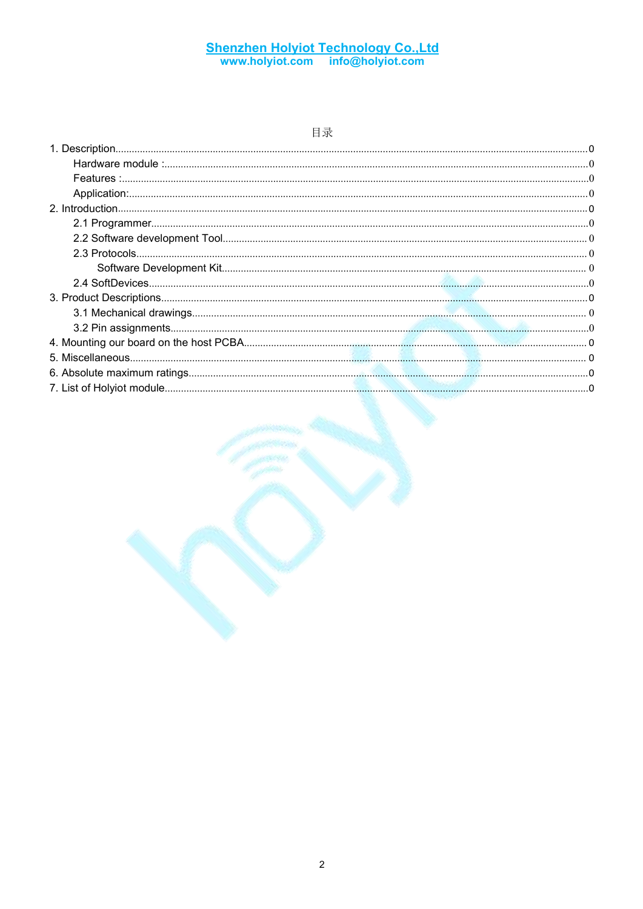#### 目录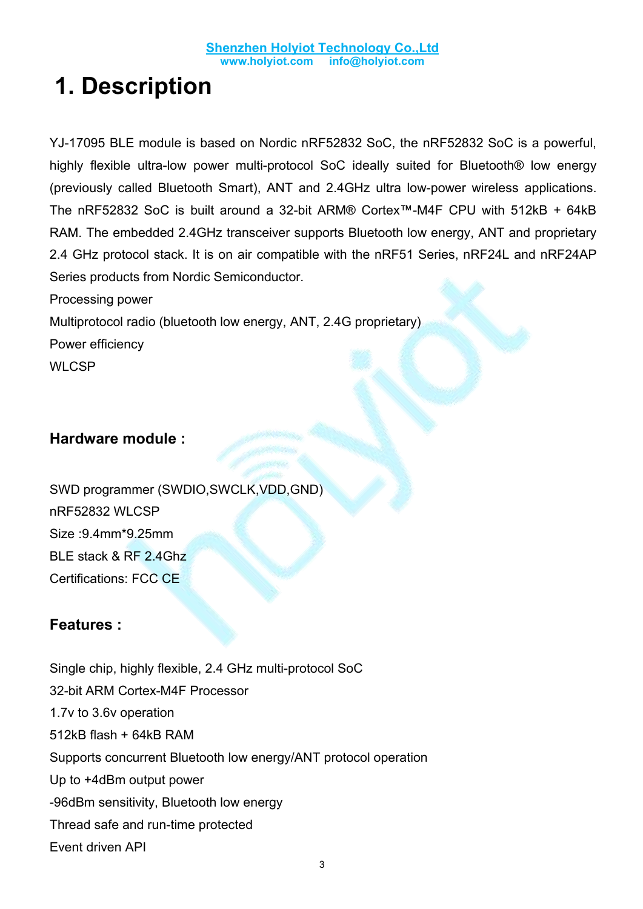# <span id="page-2-0"></span>**1. Description**

YJ-17095 BLE module is based on Nordic nRF52832 SoC, the nRF52832 SoC is a powerful, highly flexible ultra-low power multi-protocol SoC ideally suited for Bluetooth® low energy (previously called Bluetooth Smart), ANT and 2.4GHz ultra low-power wireless applications. The nRF52832 SoC is built around a 32-bit ARM® Cortex™-M4F CPU with 512kB + 64kB RAM. The embedded 2.4GHz transceiver supports Bluetooth low energy, ANT and proprietary 2.4 GHz protocol stack. It is on air compatible with the nRF51 Series, nRF24L and nRF24AP Series products from Nordic Semiconductor.

Processing power Multiprotocol radio (bluetooth low energy, ANT, 2.4G proprietary) Power efficiency **WLCSP** 

#### <span id="page-2-1"></span>**Hardware module :**

SWD programmer (SWDIO,SWCLK,VDD,GND) nRF52832 WLCSP Size :9.4mm\*9.25mm BLE stack & RF 2.4Ghz Certifications: FCC CE

#### <span id="page-2-2"></span>**Features :**

Single chip, highly flexible, 2.4 GHz multi-protocol SoC 32-bit ARM Cortex-M4F Processor 1.7v to 3.6v operation 512kB flash + 64kB RAM Supports concurrent Bluetooth low energy/ANT protocol operation Up to +4dBm output power -96dBm sensitivity, Bluetooth low energy Thread safe and run-time protected Event driven API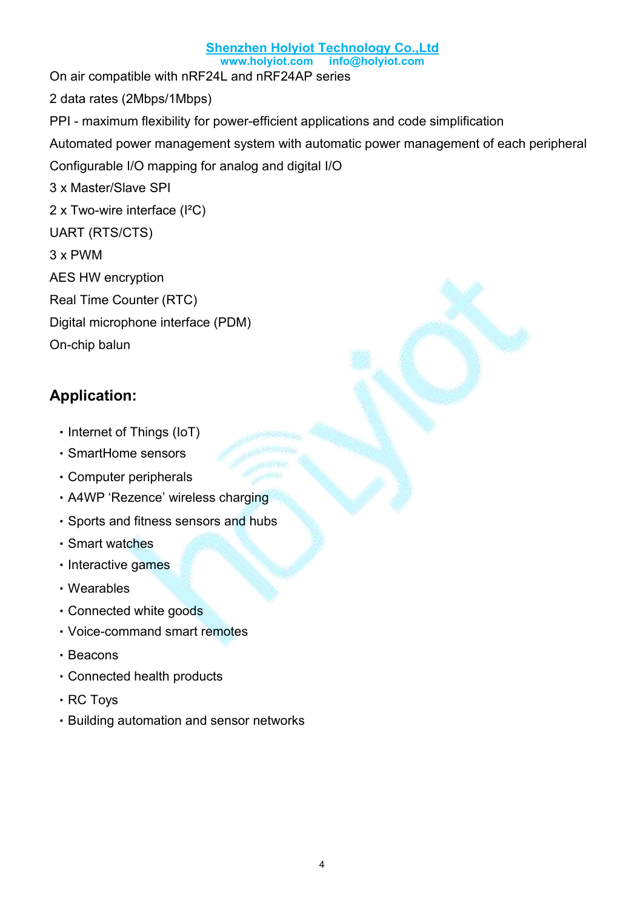#### **Shenzhen Holyiot Technology Co.,Ltd**

**[www.](http://www.holyiot.com)holyiot.com info@holyiot.com**

On air compatible with nRF24L and nRF24AP series 2 data rates (2Mbps/1Mbps) PPI - maximum flexibility for power-efficient applications and code simplification Automated power management system with automatic power management of each peripheral Configurable I/O mapping for analog and digital I/O 3 x Master/Slave SPI 2 x Two-wire interface (I²C) UART (RTS/CTS) 3 x PWM AES HW encryption Real Time Counter (RTC) Digital microphone interface (PDM) On-chip balun

#### <span id="page-3-0"></span>**Application:**

- Internet of Things (IoT)
- ‧SmartHome sensors
- ‧Computer peripherals
- ‧A4WP 'Rezence' wireless charging
- ‧Sports and fitness sensors and hubs
- ‧Smart watches
- Interactive games
- ‧Wearables
- ‧Connected white goods
- ‧Voice-command smart remotes
- ‧Beacons
- ‧Connected health products
- ‧RC Toys
- ‧Building automation and sensor networks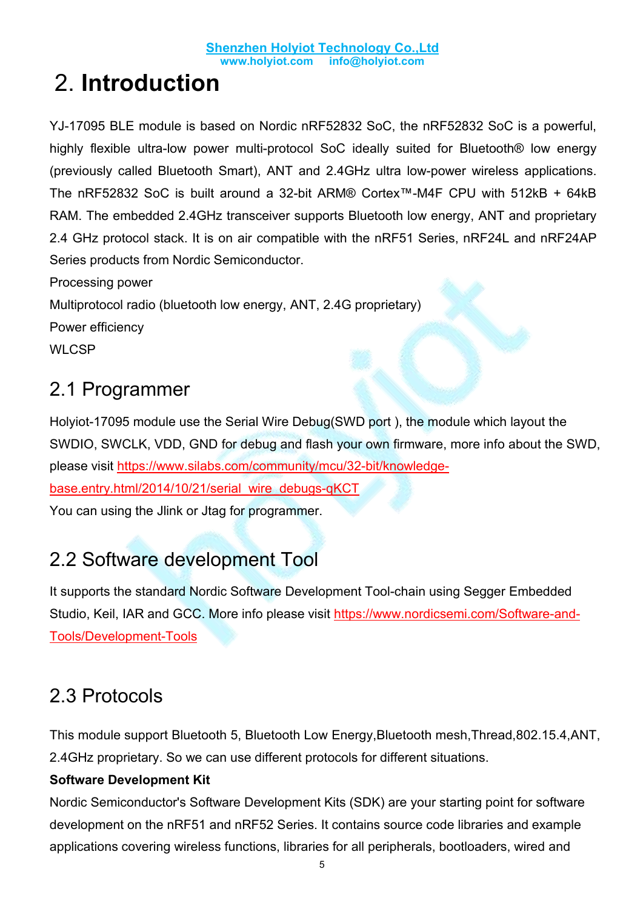# <span id="page-4-0"></span>2. **Introduction**

YJ-17095 BLE module is based on Nordic nRF52832 SoC, the nRF52832 SoC is a powerful, highly flexible ultra-low power multi-protocol SoC ideally suited for Bluetooth® low energy (previously called Bluetooth Smart), ANT and 2.4GHz ultra low-power wireless applications. The nRF52832 SoC is built around a 32-bit ARM® Cortex™-M4F CPU with 512kB + 64kB RAM. The embedded 2.4GHz transceiver supports Bluetooth low energy, ANT and proprietary 2.4 GHz protocol stack. It is on air compatible with the nRF51 Series, nRF24L and nRF24AP Series products from Nordic Semiconductor.

Processing power Multiprotocol radio (bluetooth low energy, ANT, 2.4G proprietary) Power efficiency **WLCSP** 

### <span id="page-4-1"></span>2.1 Programmer

Holyiot-17095 module use the Serial Wire Debug(SWD port), the module which layout the SWDIO, SWCLK, VDD, GND for debug and flash your own firmware, more info about the SWD, please visit [https://www.silabs.com/community/mcu/32-bit/knowledge](https://www.silabs.com/community/mcu/32-bit/knowledge-base.entry.html/2014/10/21/serial_wire_debugs-qKCT) base.entry.html/2014/10/21/serial\_wire\_debugs-qKCT

You can using the Jlink or Jtag for programmer.

### <span id="page-4-2"></span>2.2 Software development Tool

It supports the standard Nordic Software Development Tool-chain using Segger Embedded Studio, Keil, IAR and GCC. More info please visit https://www.nordicsemi.com/Software-and- Tools/Development-Tools

### <span id="page-4-3"></span>2.3 Protocols

This module support Bluetooth 5, Bluetooth Low Energy,Bluetooth mesh,Thread,802.15.4,ANT, 2.4GHz proprietary. So we can use different protocols for different situations.

#### <span id="page-4-4"></span>**Software Development Kit**

Nordic Semiconductor's Software Development Kits (SDK) are your starting point for software development on the nRF51 and nRF52 Series. It contains source code libraries and example applications covering wireless functions, libraries for all peripherals, bootloaders, wired and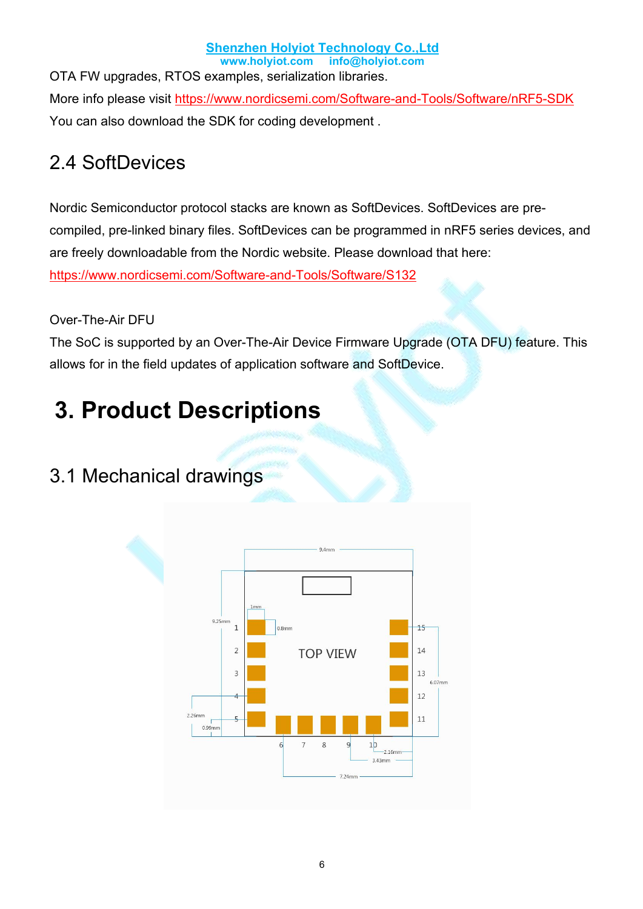**Shenzhen Holyiot Technology Co.,Ltd [www.](http://www.holyiot.com)holyiot.com info@holyiot.com** OTA FW upgrades, RTOS examples, serialization libraries. More info please visit https://www.nordicsemi.com/Software-and-Tools/Software/nRF5-SDK You can also download the SDK for coding development .

### <span id="page-5-0"></span>2.4 SoftDevices

Nordic Semiconductor protocol stacks are known as SoftDevices. SoftDevices are pre compiled, pre-linked binary files. SoftDevices can be programmed in nRF5 series devices, and are freely downloadable from the Nordic website. Please download that here: https://www.nordicsemi.com/Software-and-Tools/Software/S132

#### Over-The-Air DFU

The SoC is supported by an Over-The-Air Device Firmware Upgrade (OTA DFU) feature. This allows for in the field updates of application software and SoftDevice.

# <span id="page-5-1"></span>**3. Product Descriptions**

### <span id="page-5-2"></span>3.1 Mechanical drawings

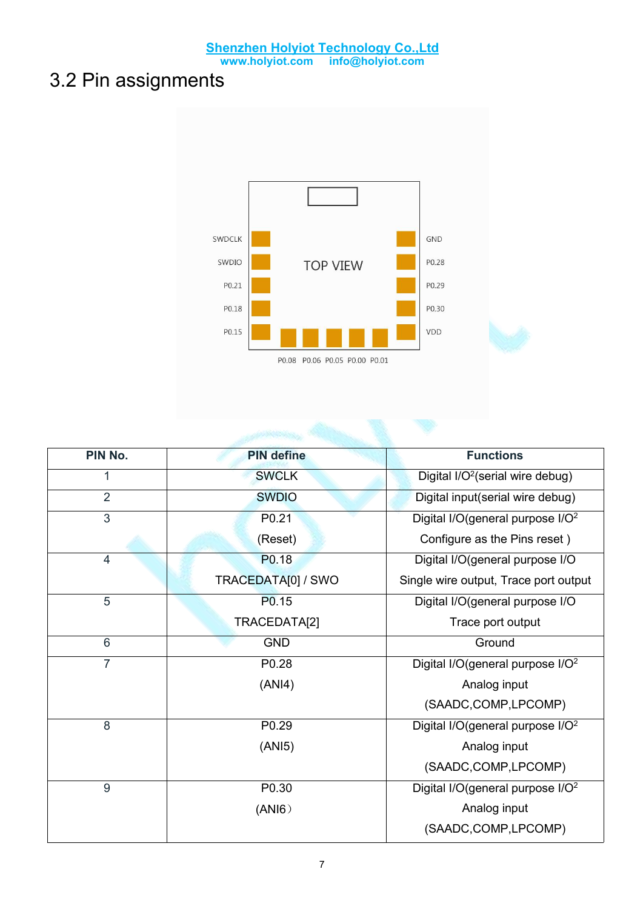### <span id="page-6-0"></span>3.2 Pin assignments



| PIN No.        | <b>PIN define</b>  | <b>Functions</b>                             |
|----------------|--------------------|----------------------------------------------|
| $\mathbf{1}$   | <b>SWCLK</b>       | Digital $I/O2$ (serial wire debug)           |
| $\overline{2}$ | <b>SWDIO</b>       | Digital input(serial wire debug)             |
| $\overline{3}$ | P0.21              | Digital I/O(general purpose I/O <sup>2</sup> |
|                | (Reset)            | Configure as the Pins reset)                 |
| 4              | P0.18              | Digital I/O(general purpose I/O              |
|                | TRACEDATA[0] / SWO | Single wire output, Trace port output        |
| 5              | P <sub>0.15</sub>  | Digital I/O(general purpose I/O              |
|                | TRACEDATA[2]       | Trace port output                            |
| 6              | <b>GND</b>         | Ground                                       |
| $\overline{7}$ | P0.28              | Digital I/O(general purpose I/O <sup>2</sup> |
|                | (ANI4)             | Analog input                                 |
|                |                    | (SAADC,COMP,LPCOMP)                          |
| 8              | P0.29              | Digital I/O(general purpose I/O <sup>2</sup> |
|                | (ANI5)             | Analog input                                 |
|                |                    | (SAADC,COMP,LPCOMP)                          |
| $9\,$          | P0.30              | Digital I/O(general purpose I/O <sup>2</sup> |
|                | (ANI6)             | Analog input                                 |
|                |                    | (SAADC,COMP,LPCOMP)                          |
|                |                    |                                              |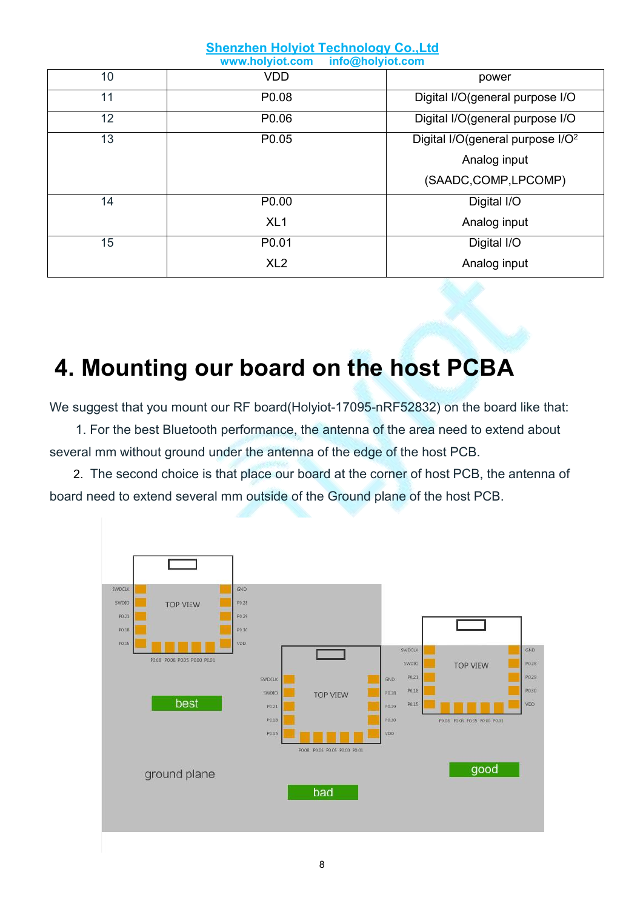|    | <b>Shenzhen Holyiot Technology Co., Ltd</b><br>info@holyiot.com<br>www.holyiot.com |                                              |  |
|----|------------------------------------------------------------------------------------|----------------------------------------------|--|
| 10 | <b>VDD</b>                                                                         | power                                        |  |
| 11 | P0.08                                                                              | Digital I/O(general purpose I/O              |  |
| 12 | P0.06                                                                              | Digital I/O(general purpose I/O              |  |
| 13 | P0.05                                                                              | Digital I/O(general purpose I/O <sup>2</sup> |  |
|    |                                                                                    | Analog input                                 |  |
|    |                                                                                    | (SAADC,COMP,LPCOMP)                          |  |
| 14 | P0.00                                                                              | Digital I/O                                  |  |
|    | XL <sub>1</sub>                                                                    | Analog input                                 |  |
| 15 | P0.01                                                                              | Digital I/O                                  |  |
|    | XL <sub>2</sub>                                                                    | Analog input                                 |  |
|    |                                                                                    |                                              |  |

# <span id="page-7-0"></span>**4. Mounting our board on the host PCBA**

We suggest that you mount our RF board(Holyiot-17095-nRF52832) on the board like that:

1. For the best Bluetooth performance, the antenna of the area need to extend about several mm without ground under the antenna of the edge of the host PCB.

2. The second choice is that place our board at the corner of host PCB, the antenna of board need to extend several mm outside of the Ground plane of the host PCB.

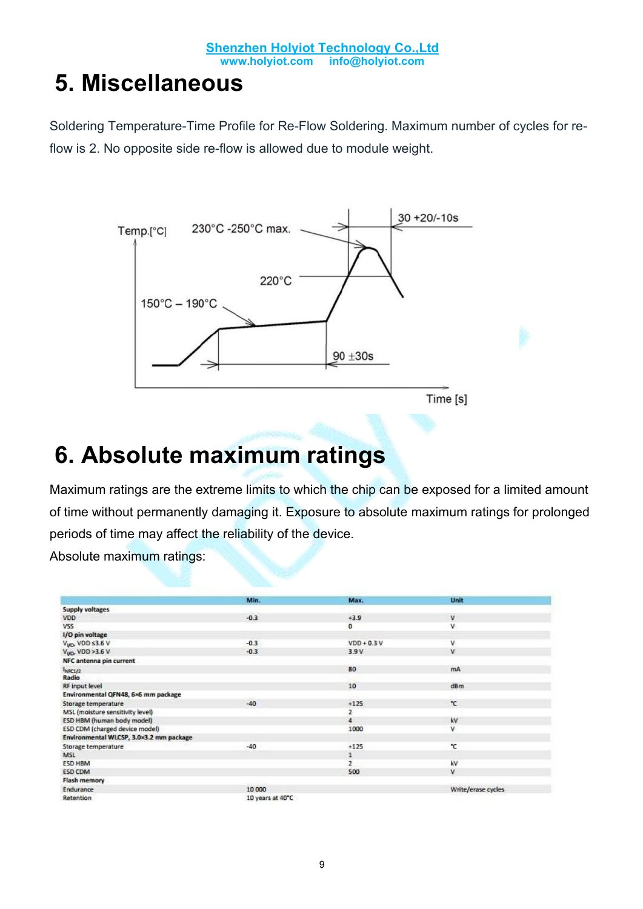## <span id="page-8-0"></span>**5. Miscellaneous**

Soldering Temperature-Time Profile for Re-Flow Soldering. Maximum number of cycles for reflow is 2. No opposite side re-flow is allowed due to module weight.



# <span id="page-8-1"></span>**6. Absolute maximum ratings**

Maximum ratings are the extreme limits to which the chip can be exposed for a limited amount of time without permanently damaging it. Exposure to absolute maximum ratings for prolonged periods of time may affect the reliability of the device.

Absolute maximum ratings:

|                                         | Min.             | Max.           | Unit               |
|-----------------------------------------|------------------|----------------|--------------------|
|                                         |                  |                |                    |
| <b>Supply voltages</b>                  |                  |                |                    |
| VDD.                                    | $-0.3$           | $+3.9$         | v                  |
| VSS                                     |                  | $\circ$        | v                  |
| 1/O pin voltage                         |                  |                |                    |
| $V_{VQ}$ , VDD s3.6 V                   | $-0.3$           | $VDD + 0.3 V$  | ٧                  |
| $VVO$ , VDD >3.6 V                      | $-0.3$           | 3.9 V          | v                  |
| NFC antenna pin current                 |                  |                |                    |
| $1_{\text{NSC1}/2}$                     |                  | 80             | mA.                |
| <b>Radio</b>                            |                  |                |                    |
| RF input level                          |                  | 10             | dBm                |
| Environmental QFN48, 6×6 mm package     |                  |                |                    |
| Storage temperature                     | $-40$            | $+125$         | °C.                |
| MSL (moisture sensitivity level)        |                  | 2              |                    |
| ESD HBM (human body model)              |                  | $\overline{4}$ | kV                 |
| ESD CDM (charged device model)          |                  | 1000           | v                  |
| Environmental WLCSP, 3.0×3.2 mm package |                  |                |                    |
| Storage temperature                     | $-40$            | $+125$         | °C                 |
| MSL                                     |                  | 1              |                    |
| ESD HBM                                 |                  | $\overline{2}$ | kv                 |
| ESD CDM                                 |                  | 500            | v                  |
| Flash memory                            |                  |                |                    |
| Endurance                               | 10 000           |                | Write/erase cycles |
| Retention                               | 10 years at 40°C |                |                    |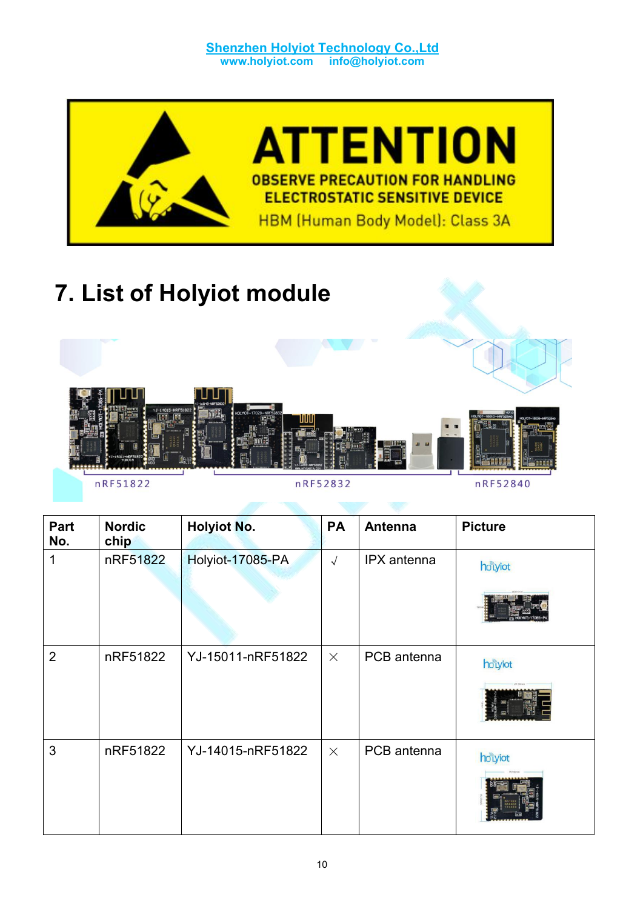

# <span id="page-9-0"></span>**7. List of Holyiot module**



nRF51822

nRF52832

nRF52840

| Part<br>No.    | <b>Nordic</b><br>chip | <b>Holyiot No.</b> | <b>PA</b>  | <b>Antenna</b> | <b>Picture</b> |
|----------------|-----------------------|--------------------|------------|----------------|----------------|
| 1              | nRF51822              | Holyiot-17085-PA   | $\sqrt{ }$ | IPX antenna    | hotyiot        |
| $\overline{2}$ | nRF51822              | YJ-15011-nRF51822  | $\times$   | PCB antenna    | hotyiot        |
| 3              | nRF51822              | YJ-14015-nRF51822  | $\times$   | PCB antenna    | hotyiot        |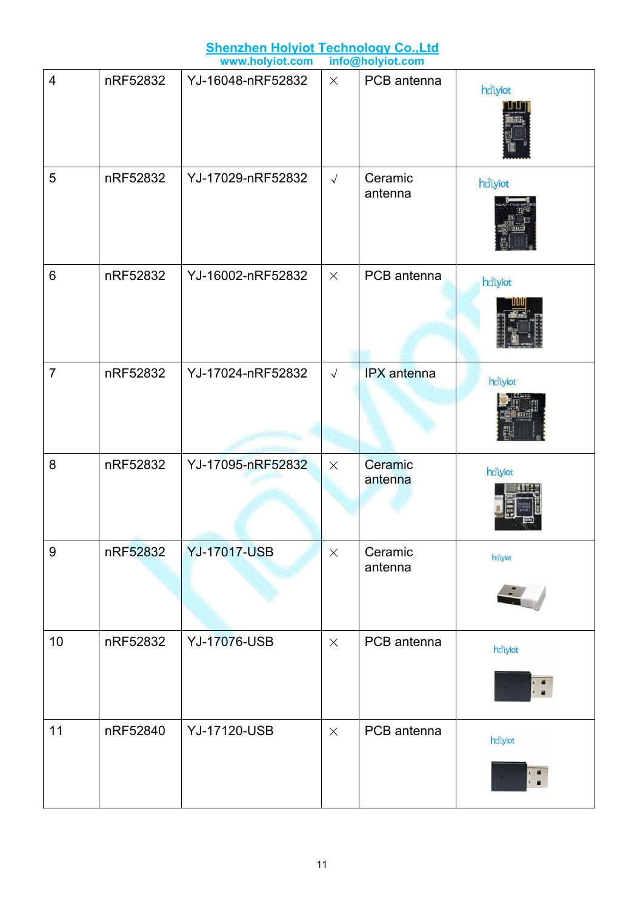|                |          | <b>Shenzhen Holyiot Technology Co., Ltd</b> |                      |                                 |         |
|----------------|----------|---------------------------------------------|----------------------|---------------------------------|---------|
|                |          | www.holyiot.com                             |                      | info@holyiot.com<br>PCB antenna |         |
| $\overline{4}$ | nRF52832 | YJ-16048-nRF52832                           | $\times$             |                                 | hotyiot |
| 5              | nRF52832 | YJ-17029-nRF52832                           | $\sqrt{\phantom{a}}$ | Ceramic<br>antenna              | holyiot |
| 6              | nRF52832 | YJ-16002-nRF52832                           | $\times$             | PCB antenna                     | holyiot |
| $\overline{7}$ | nRF52832 | YJ-17024-nRF52832                           | $\sqrt{ }$           | <b>IPX</b> antenna              | holyiot |
| 8              | nRF52832 | YJ-17095-nRF52832                           | $\times$             | Ceramic<br>antenna              | holyiot |
| 9              | nRF52832 | <b>YJ-17017-USB</b>                         | $\times$             | Ceramic<br>antenna              | holyiot |
| 10             | nRF52832 | <b>YJ-17076-USB</b>                         | $\times$             | PCB antenna                     | hotyiot |
| 11             | nRF52840 | <b>YJ-17120-USB</b>                         | $\times$             | PCB antenna                     | hotyiot |